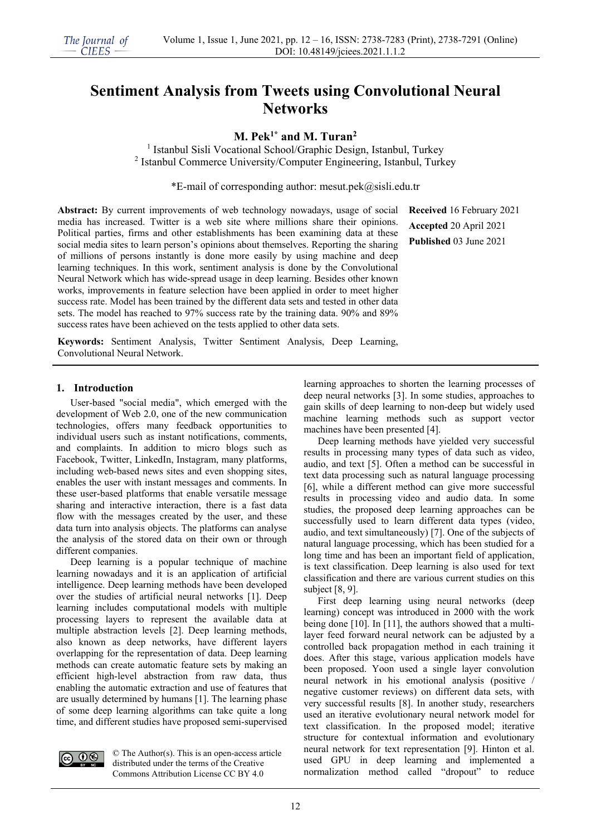# **Sentiment Analysis from Tweets using Convolutional Neural Networks**

**M. Pek1\* and M. Turan2**

<sup>1</sup> Istanbul Sisli Vocational School/Graphic Design, Istanbul, Turkey <sup>2</sup> Istanbul Commerce University/Computer Engineering, Istanbul, Turkey

\*E-mail of corresponding author: mesut.pek@sisli.edu.tr

**Abstract:** By current improvements of web technology nowadays, usage of social media has increased. Twitter is a web site where millions share their opinions. Political parties, firms and other establishments has been examining data at these social media sites to learn person's opinions about themselves. Reporting the sharing of millions of persons instantly is done more easily by using machine and deep learning techniques. In this work, sentiment analysis is done by the Convolutional Neural Network which has wide-spread usage in deep learning. Besides other known works, improvements in feature selection have been applied in order to meet higher success rate. Model has been trained by the different data sets and tested in other data sets. The model has reached to 97% success rate by the training data. 90% and 89% success rates have been achieved on the tests applied to other data sets.

**Keywords:** Sentiment Analysis, Twitter Sentiment Analysis, Deep Learning, Convolutional Neural Network.

**1. Introduction** 

**@ 0** 

User-based "social media", which emerged with the development of Web 2.0, one of the new communication technologies, offers many feedback opportunities to individual users such as instant notifications, comments, and complaints. In addition to micro blogs such as Facebook, Twitter, LinkedIn, Instagram, many platforms, including web-based news sites and even shopping sites, enables the user with instant messages and comments. In these user-based platforms that enable versatile message sharing and interactive interaction, there is a fast data flow with the messages created by the user, and these data turn into analysis objects. The platforms can analyse the analysis of the stored data on their own or through different companies.

Deep learning is a popular technique of machine learning nowadays and it is an application of artificial intelligence. Deep learning methods have been developed over the studies of artificial neural networks [1]. Deep learning includes computational models with multiple processing layers to represent the available data at multiple abstraction levels [2]. Deep learning methods, also known as deep networks, have different layers overlapping for the representation of data. Deep learning methods can create automatic feature sets by making an efficient high-level abstraction from raw data, thus enabling the automatic extraction and use of features that are usually determined by humans [1]. The learning phase of some deep learning algorithms can take quite a long time, and different studies have proposed semi-supervised

> © The Author(s). This is an open-access article distributed under the terms of the Creative Commons Attribution License CC BY 4.0

**Received** 16 February 2021 **Accepted** 20 April 2021 **Published** 03 June 2021

learning approaches to shorten the learning processes of deep neural networks [3]. In some studies, approaches to gain skills of deep learning to non-deep but widely used machine learning methods such as support vector machines have been presented [4].

Deep learning methods have yielded very successful results in processing many types of data such as video, audio, and text [5]. Often a method can be successful in text data processing such as natural language processing [6], while a different method can give more successful results in processing video and audio data. In some studies, the proposed deep learning approaches can be successfully used to learn different data types (video, audio, and text simultaneously) [7]. One of the subjects of natural language processing, which has been studied for a long time and has been an important field of application, is text classification. Deep learning is also used for text classification and there are various current studies on this subject [8, 9].

First deep learning using neural networks (deep learning) concept was introduced in 2000 with the work being done [10]. In [11], the authors showed that a multilayer feed forward neural network can be adjusted by a controlled back propagation method in each training it does. After this stage, various application models have been proposed. Yoon used a single layer convolution neural network in his emotional analysis (positive / negative customer reviews) on different data sets, with very successful results [8]. In another study, researchers used an iterative evolutionary neural network model for text classification. In the proposed model; iterative structure for contextual information and evolutionary neural network for text representation [9]. Hinton et al. used GPU in deep learning and implemented a normalization method called "dropout" to reduce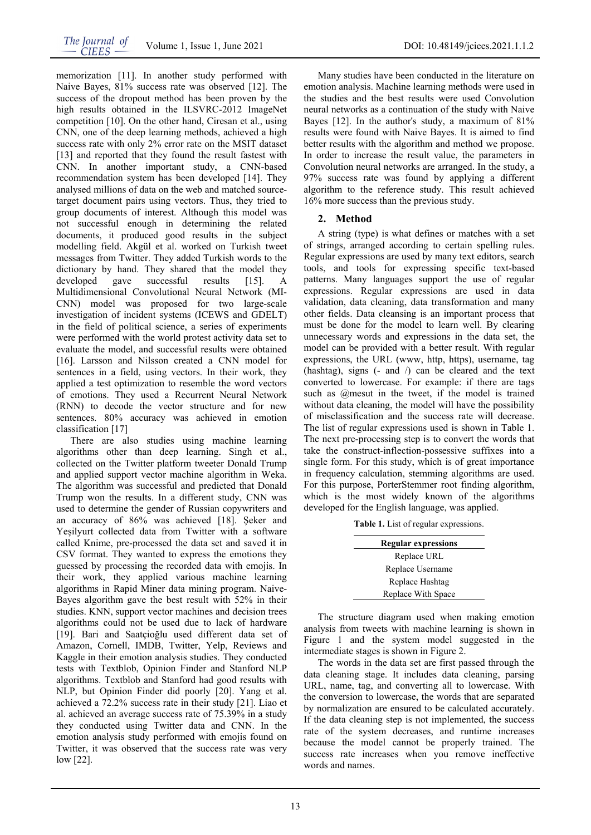memorization [11]. In another study performed with Naive Bayes, 81% success rate was observed [12]. The success of the dropout method has been proven by the high results obtained in the ILSVRC-2012 ImageNet competition [10]. On the other hand, Ciresan et al., using CNN, one of the deep learning methods, achieved a high success rate with only 2% error rate on the MSIT dataset [13] and reported that they found the result fastest with CNN. In another important study, a CNN-based recommendation system has been developed [14]. They analysed millions of data on the web and matched sourcetarget document pairs using vectors. Thus, they tried to group documents of interest. Although this model was not successful enough in determining the related documents, it produced good results in the subject modelling field. Akgül et al. worked on Turkish tweet messages from Twitter. They added Turkish words to the dictionary by hand. They shared that the model they developed gave successful results [15]. A Multidimensional Convolutional Neural Network (MI-CNN) model was proposed for two large-scale investigation of incident systems (ICEWS and GDELT) in the field of political science, a series of experiments were performed with the world protest activity data set to evaluate the model, and successful results were obtained [16]. Larsson and Nilsson created a CNN model for sentences in a field, using vectors. In their work, they applied a test optimization to resemble the word vectors of emotions. They used a Recurrent Neural Network (RNN) to decode the vector structure and for new sentences. 80% accuracy was achieved in emotion classification [17]

There are also studies using machine learning algorithms other than deep learning. Singh et al., collected on the Twitter platform tweeter Donald Trump and applied support vector machine algorithm in Weka. The algorithm was successful and predicted that Donald Trump won the results. In a different study, CNN was used to determine the gender of Russian copywriters and an accuracy of 86% was achieved [18]. Şeker and Yeşilyurt collected data from Twitter with a software called Knime, pre-processed the data set and saved it in CSV format. They wanted to express the emotions they guessed by processing the recorded data with emojis. In their work, they applied various machine learning algorithms in Rapid Miner data mining program. Naive-Bayes algorithm gave the best result with 52% in their studies. KNN, support vector machines and decision trees algorithms could not be used due to lack of hardware [19]. Bari and Saatçioğlu used different data set of Amazon, Cornell, IMDB, Twitter, Yelp, Reviews and Kaggle in their emotion analysis studies. They conducted tests with Textblob, Opinion Finder and Stanford NLP algorithms. Textblob and Stanford had good results with NLP, but Opinion Finder did poorly [20]. Yang et al. achieved a 72.2% success rate in their study [21]. Liao et al. achieved an average success rate of 75.39% in a study they conducted using Twitter data and CNN. In the emotion analysis study performed with emojis found on Twitter, it was observed that the success rate was very low [22].

Many studies have been conducted in the literature on emotion analysis. Machine learning methods were used in the studies and the best results were used Convolution neural networks as a continuation of the study with Naive Bayes [12]. In the author's study, a maximum of 81% results were found with Naive Bayes. It is aimed to find better results with the algorithm and method we propose. In order to increase the result value, the parameters in Convolution neural networks are arranged. In the study, a 97% success rate was found by applying a different algorithm to the reference study. This result achieved 16% more success than the previous study.

## **2. Method**

A string (type) is what defines or matches with a set of strings, arranged according to certain spelling rules. Regular expressions are used by many text editors, search tools, and tools for expressing specific text-based patterns. Many languages support the use of regular expressions. Regular expressions are used in data validation, data cleaning, data transformation and many other fields. Data cleansing is an important process that must be done for the model to learn well. By clearing unnecessary words and expressions in the data set, the model can be provided with a better result. With regular expressions, the URL (www, http, https), username, tag (hashtag), signs (- and /) can be cleared and the text converted to lowercase. For example: if there are tags such as @mesut in the tweet, if the model is trained without data cleaning, the model will have the possibility of misclassification and the success rate will decrease. The list of regular expressions used is shown in Table 1. The next pre-processing step is to convert the words that take the construct-inflection-possessive suffixes into a single form. For this study, which is of great importance in frequency calculation, stemming algorithms are used. For this purpose, PorterStemmer root finding algorithm, which is the most widely known of the algorithms developed for the English language, was applied.

**Table 1.** List of regular expressions.

| <b>Regular expressions</b> |  |
|----------------------------|--|
| Replace URL                |  |
| Replace Username           |  |
| Replace Hashtag            |  |
| Replace With Space         |  |

The structure diagram used when making emotion analysis from tweets with machine learning is shown in Figure 1 and the system model suggested in the intermediate stages is shown in Figure 2.

The words in the data set are first passed through the data cleaning stage. It includes data cleaning, parsing URL, name, tag, and converting all to lowercase. With the conversion to lowercase, the words that are separated by normalization are ensured to be calculated accurately. If the data cleaning step is not implemented, the success rate of the system decreases, and runtime increases because the model cannot be properly trained. The success rate increases when you remove ineffective words and names.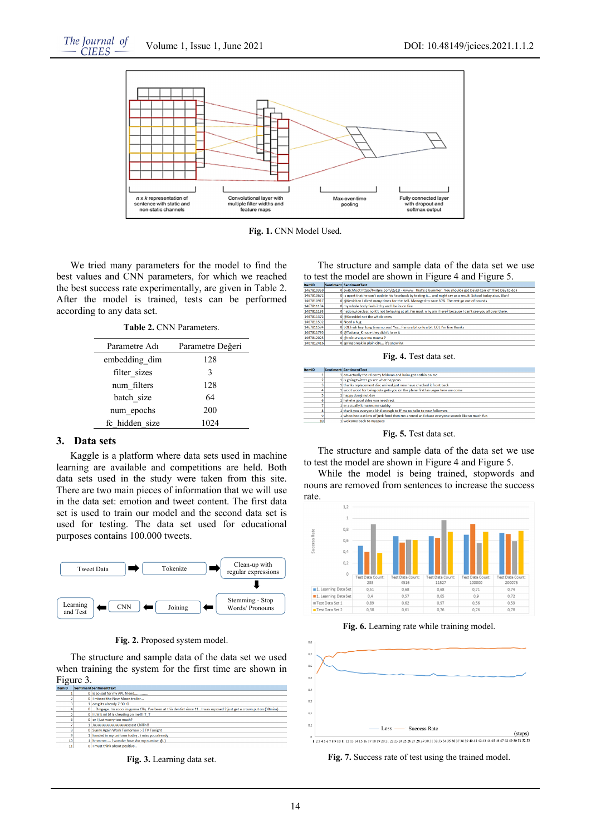

**Fig. 1.** CNN Model Used.

We tried many parameters for the model to find the best values and CNN parameters, for which we reached the best success rate experimentally, are given in Table 2. After the model is trained, tests can be performed according to any data set.

| Parametre Adı  | Parametre Değeri |
|----------------|------------------|
| embedding dim  | 128              |
| filter_sizes   | 3                |
| num filters    | 128              |
| batch size     | 64               |
| num epochs     | 200              |
| fc hidden size | 1024             |

## **3. Data sets**

Kaggle is a platform where data sets used in machine learning are available and competitions are held. Both data sets used in the study were taken from this site. There are two main pieces of information that we will use in the data set: emotion and tweet content. The first data set is used to train our model and the second data set is used for testing. The data set used for educational purposes contains 100.000 tweets.



**Fig. 2.** Proposed system model.

The structure and sample data of the data set we used when training the system for the first time are shown in Figure 3.

| <b>ItemID</b> |    | <b>Sentiment Sentiment Text</b>                                                                                      |
|---------------|----|----------------------------------------------------------------------------------------------------------------------|
|               |    | 0 is so sad for my APL friend                                                                                        |
|               |    | 0   I missed the New Moon trailer                                                                                    |
|               |    | ome its already 7:30 :O                                                                                              |
| ۵             |    | 0  Omgaga. Im sooo im gunna CRy. I've been at this dentist since 11 I was suposed 2 just get a crown put on (30mins) |
|               |    | 0 i think mi bf is cheating on me!!! T T                                                                             |
| 6             |    | 0 or i just worry too much?                                                                                          |
|               |    | Juuuuuuuuuuuuuuussssst Chillin!!                                                                                     |
| 8             | ΩL | Sunny Again Work Tomorrow :-   TV Tonight                                                                            |
| 9             |    | 1 handed in my uniform today, i miss you already                                                                     |
| 10            |    | hmmmm i wonder how she my number @-)                                                                                 |
| 11            |    | 0   I must think about positive                                                                                      |

**Fig. 3.** Learning data set.

The structure and sample data of the data set we use to test the model are shown in Figure 4 and Figure 5.

| <b>ItemID</b> | <b>Sentiment SentimentText</b>                                                                                 |
|---------------|----------------------------------------------------------------------------------------------------------------|
| 1467810369    | 0 switchfoot http://twitpic.com/2v1zl - Awww that's a bummer. You shoulda got David Carr of Third Day to do i  |
| 1467810672    | 0 is upset that he can't update his Facebook by texting it and might cry as a result School today also. Blah!  |
| 1467810917    | 0 @Kenichan I dived many times for the ball. Managed to save 50% The rest go out of bounds                     |
| 1467811184    | 0 my whole body feels itchy and like its on fire                                                               |
| 1467811193    | O nationwideclass no it's not behaving at all, i'm mad, why am i here? because I can't see you all over there, |
| 1467811372    | 0 @Kwesidei not the whole crew                                                                                 |
| 1467811592    | O Need a hug                                                                                                   |
| 1467811594    | 0 LOLTrish hey long time no see! Yes Rains a bit only a bit LOL I'm fine thanks                                |
| 1467811795    | 0 @Tatiana K nope they didn't have it                                                                          |
| 1467812025    | 0 @twittera que me muera ?                                                                                     |
| 1467812416    | O spring break in plain city it's snowing                                                                      |
|               |                                                                                                                |

**Fig. 4.** Test data set.

| <b>ItemID</b> | Sentiment SentimentText                                                                     |
|---------------|---------------------------------------------------------------------------------------------|
|               | 1 am actually the rd corey feldman and haim got nothin on me                                |
|               | 1 is giving twitter go see what happens                                                     |
|               | 1 thanks replacement disc arrived just now have checked it front back                       |
|               | 1 woot woot for being cute gets you on the plane first las vegas here we come               |
|               | 1 happy doughnut day                                                                        |
|               | 1 hehehe good sides you need rest                                                           |
|               | 1 er actually it makes me stabby                                                            |
|               | 1 thank you everyone kind enough to ff me xx hello to new followers                         |
|               | 1 whoo hoo eat lots of junk food then run around and chase everyone sounds like so much fun |
| 10            | 1 welcome back to myspace                                                                   |

**Fig. 5.** Test data set.

The structure and sample data of the data set we use to test the model are shown in Figure 4 and Figure 5.

While the model is being trained, stopwords and nouns are removed from sentences to increase the success rate.



**Fig. 6.** Learning rate while training model.



**Fig. 7.** Success rate of test using the trained model.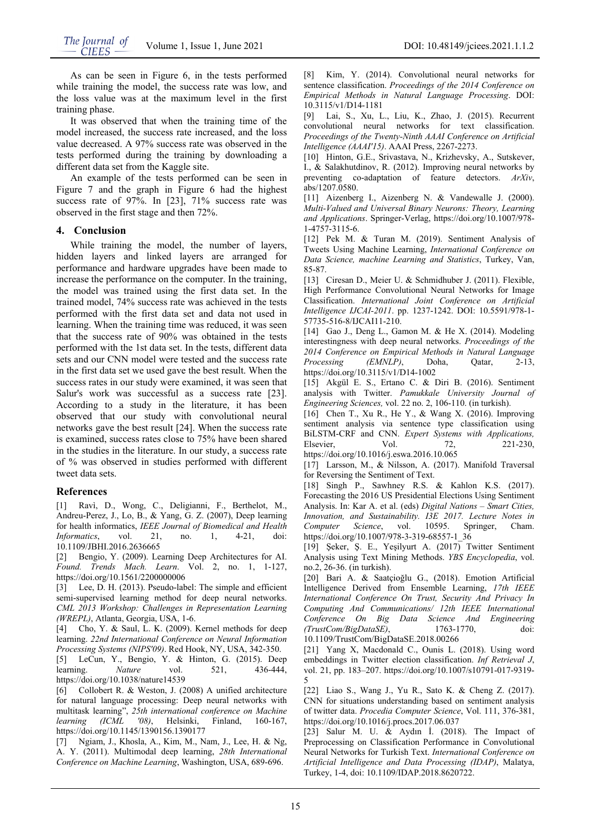As can be seen in Figure 6, in the tests performed while training the model, the success rate was low, and the loss value was at the maximum level in the first training phase.

It was observed that when the training time of the model increased, the success rate increased, and the loss value decreased. A 97% success rate was observed in the tests performed during the training by downloading a different data set from the Kaggle site.

An example of the tests performed can be seen in Figure 7 and the graph in Figure 6 had the highest success rate of 97%. In [23], 71% success rate was observed in the first stage and then 72%.

### **4. Conclusion**

While training the model, the number of layers, hidden layers and linked layers are arranged for performance and hardware upgrades have been made to increase the performance on the computer. In the training, the model was trained using the first data set. In the trained model, 74% success rate was achieved in the tests performed with the first data set and data not used in learning. When the training time was reduced, it was seen that the success rate of 90% was obtained in the tests performed with the 1st data set. In the tests, different data sets and our CNN model were tested and the success rate in the first data set we used gave the best result. When the success rates in our study were examined, it was seen that Salur's work was successful as a success rate [23]. According to a study in the literature, it has been observed that our study with convolutional neural networks gave the best result [24]. When the success rate is examined, success rates close to 75% have been shared in the studies in the literature. In our study, a success rate of % was observed in studies performed with different tweet data sets.

### **References**

[1] Ravì, D., Wong, C., Deligianni, F., Berthelot, M., Andreu-Perez, J., Lo, B., & Yang, G. Z. (2007), Deep learning for health informatics, *IEEE Journal of Biomedical and Health Informatics*, vol. 21, no. 1, 4-21, doi: 10.1109/JBHI.2016.2636665

[2] Bengio, Y. (2009). Learning Deep Architectures for AI. *Found. Trends Mach. Learn*. Vol. 2, no. 1, 1-127, https://doi.org/10.1561/2200000006

[3] Lee, D. H. (2013). Pseudo-label: The simple and efficient semi-supervised learning method for deep neural networks. *CML 2013 Workshop: Challenges in Representation Learning (WREPL)*, Atlanta, Georgia, USA, 1-6.

[4] Cho, Y. & Saul, L. K. (2009). Kernel methods for deep learning. *22nd International Conference on Neural Information Processing Systems (NIPS'09)*. Red Hook, NY, USA, 342-350.

[5] LeCun, Y., Bengio, Y. & Hinton, G. (2015). Deep learning. *Nature* vol. 521, 436-444, https://doi.org/10.1038/nature14539

[6] Collobert R. & Weston, J. (2008) A unified architecture for natural language processing: Deep neural networks with multitask learning", *25th international conference on Machine learning (ICML '08)*, Helsinki, Finland, 160-167, https://doi.org/10.1145/1390156.1390177

[7] Ngiam, J., Khosla, A., Kim, M., Nam, J., Lee, H. & Ng, A. Y. (2011). Multimodal deep learning, *28th International Conference on Machine Learning*, Washington, USA, 689-696.

[8] Kim, Y. (2014). Convolutional neural networks for sentence classification. *Proceedings of the 2014 Conference on Empirical Methods in Natural Language Processing*. DOI: 10.3115/v1/D14-1181

[9] Lai, S., Xu, L., Liu, K., Zhao, J. (2015). Recurrent convolutional neural networks for text classification. *Proceedings of the Twenty-Ninth AAAI Conference on Artificial Intelligence (AAAI'15)*. AAAI Press, 2267-2273.

[10] Hinton, G.E., Srivastava, N., Krizhevsky, A., Sutskever, I., & Salakhutdinov, R. (2012). Improving neural networks by preventing co-adaptation of feature detectors. *ArXiv*, abs/1207.0580.

[11] Aizenberg I., Aizenberg N. & Vandewalle J. (2000). *Multi-Valued and Universal Binary Neurons: Theory, Learning and Applications*. Springer-Verlag, https://doi.org/10.1007/978- 1-4757-3115-6.

[12] Pek M. & Turan M. (2019). Sentiment Analysis of Tweets Using Machine Learning, *International Conference on Data Science, machine Learning and Statistics*, Turkey, Van, 85-87.

[13] Ciresan D., Meier U. & Schmidhuber J. (2011). Flexible, High Performance Convolutional Neural Networks for Image Classification. *International Joint Conference on Artificial Intelligence IJCAI-2011*. pp. 1237-1242. DOI: 10.5591/978-1- 57735-516-8/IJCAI11-210.

[14] Gao J., Deng L., Gamon M. & He X. (2014). Modeling interestingness with deep neural networks. *Proceedings of the 2014 Conference on Empirical Methods in Natural Language Processing (EMNLP)*, Doha, Qatar, 2-13, https://doi.org/10.3115/v1/D14-1002

[15] Akgül E. S., Ertano C. & Diri B. (2016). Sentiment analysis with Twitter. *Pamukkale University Journal of Engineering Sciences,* vol. 22 no. 2, 106-110. (in turkish).

[16] Chen T., Xu R., He Y., & Wang X. (2016). Improving sentiment analysis via sentence type classification using BiLSTM-CRF and CNN. *Expert Systems with Applications,* Elsevier, Vol. 72, 221-230, https://doi.org/10.1016/j.eswa.2016.10.065

[17] Larsson, M., & Nilsson, A. (2017). Manifold Traversal for Reversing the Sentiment of Text.

[18] Singh P., Sawhney R.S. & Kahlon K.S. (2017). Forecasting the 2016 US Presidential Elections Using Sentiment Analysis. In: Kar A. et al. (eds) *Digital Nations – Smart Cities, Innovation, and Sustainability. I3E 2017. Lecture Notes in Computer Science*, vol. 10595. Springer, Cham. https://doi.org/10.1007/978-3-319-68557-1\_36

[19] Şeker, Ş. E., Yeşilyurt A. (2017) Twitter Sentiment Analysis using Text Mining Methods. *YBS Encyclopedia*, vol. no.2, 26-36. (in turkish).

[20] Bari A. & Saatçioğlu G., (2018). Emotion Artificial Intelligence Derived from Ensemble Learning, *17th IEEE International Conference On Trust, Security And Privacy In Computing And Communications/ 12th IEEE International Conference On Big Data Science And Engineering (TrustCom/BigDataSE)*, 1763-1770, doi: 10.1109/TrustCom/BigDataSE.2018.00266

[21] Yang X, Macdonald C., Ounis L. (2018). Using word embeddings in Twitter election classification. *Inf Retrieval J*, vol. 21, pp. 183–207. https://doi.org/10.1007/s10791-017-9319- 5

[22] Liao S., Wang J., Yu R., Sato K. & Cheng Z. (2017). CNN for situations understanding based on sentiment analysis of twitter data. *Procedia Computer Science*, Vol. 111, 376-381, https://doi.org/10.1016/j.procs.2017.06.037

[23] Salur M. U. & Aydın İ. (2018). The Impact of Preprocessing on Classification Performance in Convolutional Neural Networks for Turkish Text. *International Conference on Artificial Intelligence and Data Processing (IDAP)*, Malatya, Turkey, 1-4, doi: 10.1109/IDAP.2018.8620722.